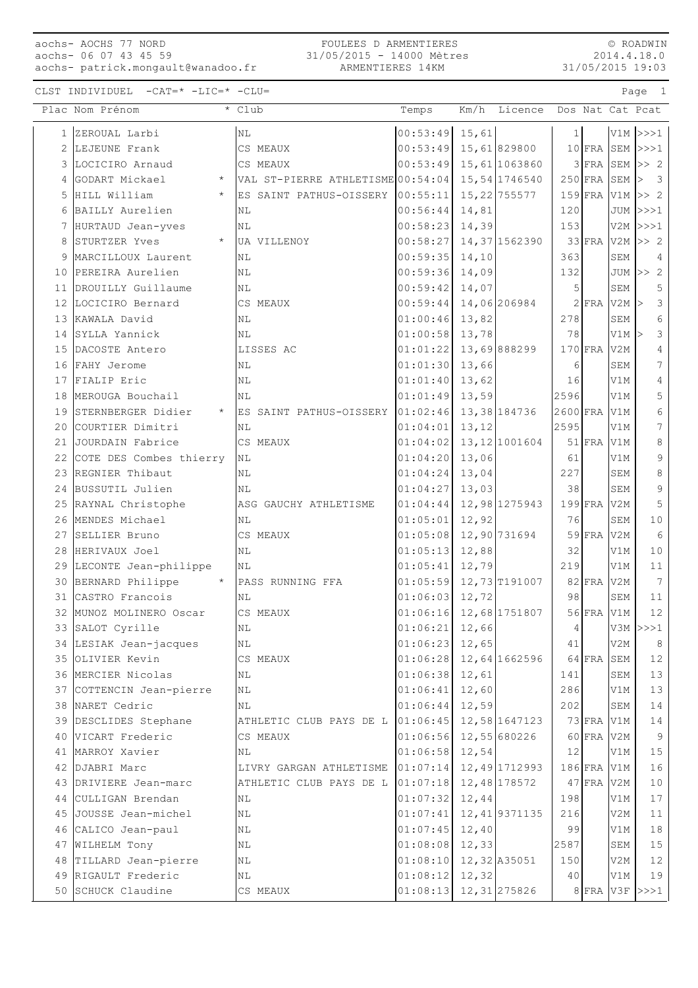aochs- AOCHS 77 NORD aochs- 06 07 43 45 59 aochs- patrick.mongault@wanadoo.fr

#### FOULEES D ARMENTIERES 31/05/2015 - 14000 Mètres ARMENTIERES 14KM

© ROADWIN 2014.4.18.0 31/05/2015 19:03

|   | Plac Nom Prénom                  | * Club                                         | Temps                      | Km/h         | Licence        |            |               |                  | Dos Nat Cat Pcat               |
|---|----------------------------------|------------------------------------------------|----------------------------|--------------|----------------|------------|---------------|------------------|--------------------------------|
|   | 1 ZEROUAL Larbi                  | ΝL                                             | $00:53:49$ 15,61           |              |                | 1          |               |                  | $V1M$ $>>$ $1$                 |
| 2 | LEJEUNE Frank                    | CS MEAUX                                       | 00:53:49                   |              | 15,61829800    |            |               |                  | $10$ FRA SEM $\rightarrow$ >>1 |
| 3 | LOCICIRO Arnaud                  | CS MEAUX                                       | 00:53:49                   |              | 15,61 1063860  |            |               |                  | $3$ FRA SEM $\gg$ 2            |
| 4 | GODART Mickael<br>$\star$        | VAL ST-PIERRE ATHLETISME 00:54:04              |                            |              | 15,54 1746540  |            |               |                  | $250$ FRA SEM $>$ 3            |
|   | 5 HILL William<br>$\star$        | ES SAINT PATHUS-OISSERY 00:55:11               |                            |              | 15, 22 755577  |            | $159$ FRA     |                  | $V1M \gg 2$                    |
|   | 6 BAILLY Aurelien                | ΝL                                             | 00:56:44                   | 14,81        |                | 120        |               |                  | JUM  >>>1                      |
|   | 7 HURTAUD Jean-yves              | NL                                             | 00:58:23                   | 14,39        |                | 153        |               |                  | $V2M$ $>>$ 1                   |
| 8 | STURTZER Yves<br>$^{\star}$      | UA VILLENOY                                    | 00:58:27                   |              | 14, 37 1562390 |            | $33$ FRA      |                  | $V2M \gg 2$                    |
| 9 | MARCILLOUX Laurent               | NL                                             | 00:59:35                   | 14, 10       |                | 363        |               | SEM              | $\overline{4}$                 |
|   | 10 PEREIRA Aurelien              | $\rm NL$                                       | 00:59:36                   | 14,09        |                | 132        |               |                  | JUM $>> 2$                     |
|   | 11 DROUILLY Guillaume            | ΝL                                             | 00:59:42                   | 14,07        |                | 5          |               | SEM              | $\mathsf S$                    |
|   | 12 LOCICIRO Bernard              | CS MEAUX                                       | 00:59:44                   | 14,06 206984 |                |            | $2$ FRA       | $V2M$ >          | $\mathcal{E}$                  |
|   | 13 KAWALA David                  | ΝL                                             | 01:00:46                   | 13,82        |                | 278        |               | SEM              | $\epsilon$                     |
|   | 14 SYLLA Yannick                 | NL                                             | 01:00:58                   | 13,78        |                | 78         |               | V1M              | $\mathsf 3$                    |
|   | 15 DACOSTE Antero                | LISSES AC                                      | 01:01:22                   |              | 13,69 888299   |            | $170$ FRA     | V <sub>2</sub> M | 4                              |
|   | 16 FAHY Jerome                   | ΝL                                             | 01:01:30                   | 13,66        |                | 6          |               | SEM              | $7\overline{ }$                |
|   | 17 FIALIP Eric                   | NL                                             | 01:01:40                   | 13,62        |                | 16         |               | V1M              | $\overline{4}$                 |
|   | 18 MEROUGA Bouchail              | ΝL                                             | 01:01:49                   | 13,59        |                | 2596       |               | V1M              | 5                              |
|   | 19 STERNBERGER Didier<br>$\star$ | ES SAINT PATHUS-OISSERY                        | $ 01:02:46 $ 13,38 184736  |              |                | $2600$ FRA |               | V1M              | $\,$ 6 $\,$                    |
|   | 20 COURTIER Dimitri              | NL                                             | 01:04:01                   | 13,12        |                | 2595       |               | V1M              | $\overline{7}$                 |
|   | 21 JOURDAIN Fabrice              | CS MEAUX                                       | 01:04:02                   |              | 13, 12 1001604 |            | $51$ FRA      | V1M              | 8                              |
|   | 22 COTE DES Combes thierry       | NL                                             | 01:04:20                   | 13,06        |                | 61         |               | V1M              | 9                              |
|   | 23 REGNIER Thibaut               | NL                                             | 01:04:24                   | 13,04        |                | 227        |               | SEM              | $\,8\,$                        |
|   | 24 BUSSUTIL Julien               | NL                                             | 01:04:27                   | 13,03        |                | 38         |               | SEM              | $\mathsf 9$                    |
|   | 25 RAYNAL Christophe             | ASG GAUCHY ATHLETISME                          | 01:04:44                   |              | 12,98 1275943  |            | $199$ FRA     | V2M              | 5                              |
|   | 26 MENDES Michael                | <b>NL</b>                                      | 01:05:01                   | 12,92        |                | 76         |               | SEM              | 10                             |
|   | 27 SELLIER Bruno                 | CS MEAUX                                       | $01:05:08$ 12,90 731694    |              |                |            | $59$ FRA      | V <sub>2M</sub>  | 6                              |
|   | 28 HERIVAUX Joel                 | NL                                             | 01:05:13                   | 12,88        |                | 32         |               | V1M              | 10                             |
|   | 29 LECONTE Jean-philippe         | ΝL                                             | 01:05:41                   | 12,79        |                | 219        |               | V1M              | 11                             |
|   | 30 BERNARD Philippe<br>$\star$   | PASS RUNNING FFA                               | 01:05:59                   |              | 12,73 T191007  |            | $82$ FRA      | V2M              | $7\phantom{.0}$                |
|   | 31 CASTRO Francois               | ΝL                                             | 01:06:03                   | 12,72        |                | 98         |               | SEM              | 11                             |
|   | 32 MUNOZ MOLINERO Oscar          | CS MEAUX                                       | $01:06:16$ 12,68 1751807   |              |                |            | $56$ FRA      | V1M              | 12                             |
|   | 33 SALOT Cyrille                 | NL                                             | $01:06:21$ 12,66           |              |                | 4          |               |                  | $V3M \ge 21$                   |
|   | 34 LESIAK Jean-jacques           | ΝL                                             | $01:06:23$ 12,65           |              |                | 41         |               | V2M              | 8                              |
|   | 35 OLIVIER Kevin                 | CS MEAUX                                       | $01:06:28$ 12,64 1662596   |              |                |            | $64$ FRA      | SEM              | 12                             |
|   | 36 MERCIER Nicolas               | NL                                             | $01:06:38$ 12,61           |              |                | 141        |               | SEM              | 13                             |
|   | 37 COTTENCIN Jean-pierre         | ΝL                                             | $01:06:41$ 12,60           |              |                | 286        |               | V1M              | 13                             |
|   | 38 NARET Cedric                  | ΝL                                             | $01:06:44$ 12,59           |              |                | 202        |               | SEM              | $1\,4$                         |
|   | 39 DESCLIDES Stephane            | ATHLETIC CLUB PAYS DE L                        | $ 01:06:45 $ 12,58 1647123 |              |                |            | 73 FRA V1M    |                  | 14                             |
|   | 40 VICART Frederic               | CS MEAUX                                       | $01:06:56$ 12,55 680226    |              |                |            | $60$ FRA V2M  |                  | 9                              |
|   | 41 MARROY Xavier                 | NL                                             | $01:06:58$ 12,54           |              |                | 12         |               | V1M              | 15                             |
|   | 42 DJABRI Marc                   | LIVRY GARGAN ATHLETISME 01:07:14 12,49 1712993 |                            |              |                |            | $186$ FRA V1M |                  | 16                             |
|   | 43 DRIVIERE Jean-marc            | ATHLETIC CLUB PAYS DE L                        | $01:07:18$ 12,48 178572    |              |                |            | $47$ FRA      | V2M              | 10                             |
|   | 44 CULLIGAN Brendan              | $\rm NL$                                       | $01:07:32$ 12,44           |              |                | 198        |               | V1M              | 17                             |
|   | 45 JOUSSE Jean-michel            | $\rm NL$                                       | $01:07:41$ 12, 41 9371135  |              |                | 216        |               | V2M              | 11                             |
|   | 46 CALICO Jean-paul              | ΝL                                             | $01:07:45$ 12,40           |              |                | 99         |               | V1M              | 18                             |
|   | 47 WILHELM Tony                  | ΝL                                             | $01:08:08$ 12,33           |              |                | 2587       |               | SEM              | 15                             |
|   | 48 TILLARD Jean-pierre           | $\rm NL$                                       | $01:08:10$ 12, 32 A35051   |              |                | 150        |               | V2M              | $12$                           |
|   | 49 RIGAULT Frederic              | ΝL                                             | $01:08:12$ 12,32           |              |                | 40         |               | V1M              | 19                             |
|   | 50 SCHUCK Claudine               | CS MEAUX                                       | $01:08:13$ 12, 31 275826   |              |                |            |               |                  | 8 FRA $V3F$ $>>1$              |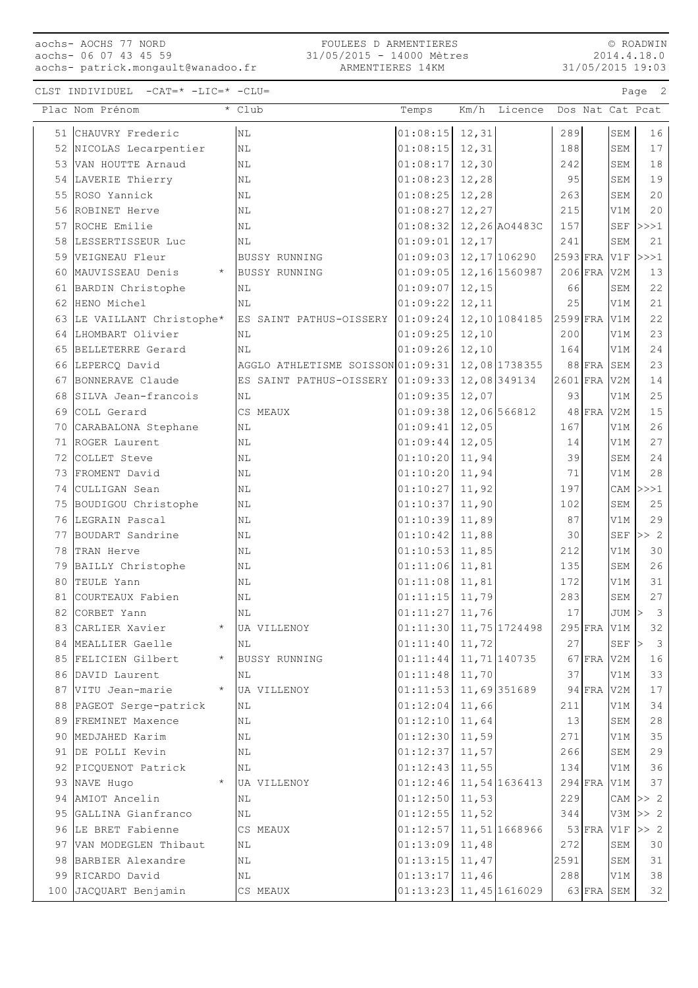## aochs- AOCHS 77 NORD aochs- 06 07 43 45 59

aochs- patrick.mongault@wanadoo.fr

© ROADWIN 2014.4.18.0 31/05/2015 19:03

|    | Plac Nom Prénom                  | * Club                                                  | Temps                                |        | Km/h Licence Dos Nat Cat Pcat |            |            |                |                                   |
|----|----------------------------------|---------------------------------------------------------|--------------------------------------|--------|-------------------------------|------------|------------|----------------|-----------------------------------|
|    | 51 CHAUVRY Frederic              | $\rm NL$                                                | $01:08:15$ 12, 31                    |        |                               | 289        |            | SEM            | 16                                |
|    | 52 NICOLAS Lecarpentier          | NL                                                      | 01:08:15                             | 12,31  |                               | 188        |            | SEM            | 17                                |
|    | 53 VAN HOUTTE Arnaud             | NL                                                      | 01:08:17                             | 12,30  |                               | 242        |            | SEM            | 18                                |
|    | 54 LAVERIE Thierry               | $\rm NL$                                                | $01:08:23$ 12,28                     |        |                               | 95         |            | SEM            | 19                                |
|    | 55 ROSO Yannick                  | N <sub>L</sub>                                          | $01:08:25$ 12,28                     |        |                               | 263        |            | SEM            | 20                                |
|    | 56 ROBINET Herve                 | NL                                                      | 01:08:27                             | 12,27  |                               | 215        |            | V1M            | 20                                |
|    | 57 ROCHE Emilie                  | NL                                                      | $01:08:32$ 12, 26 AO4483C            |        |                               | 157        |            | SEF            | >>>1                              |
|    | 58 LESSERTISSEUR Luc             | NL                                                      | 01:09:01                             | 12,17  |                               | 241        |            | SEM            | 21                                |
|    | 59 VEIGNEAU Fleur                | <b>BUSSY RUNNING</b>                                    | $01:09:03$ 12, 17 106290             |        |                               | $2593$ FRA |            | $\mathtt{V1F}$ | >>>1                              |
| 60 | MAUVISSEAU Denis<br>$\star$      | <b>BUSSY RUNNING</b>                                    | $01:09:05$ 12, 16 1560987            |        |                               |            | $206$ FRA  | V2M            | $13$                              |
| 61 | BARDIN Christophe                | ΝL                                                      | 01:09:07                             | 12,15  |                               | 66         |            | SEM            | 22                                |
|    | 62 HENO Michel                   | NL                                                      | 01:09:22                             | 12, 11 |                               | 25         |            | V1M            | 21                                |
|    | 63 LE VAILLANT Christophe*       | ES SAINT PATHUS-OISSERY 01:09:24 12,10 1084185 2599 FRA |                                      |        |                               |            |            | V1M            | 22                                |
|    | 64 LHOMBART Olivier              | NL                                                      | $01:09:25$ 12,10                     |        |                               | 200        |            | V1M            | 23                                |
|    | 65 BELLETERRE Gerard             | NL                                                      | $01:09:26$ 12,10                     |        |                               | 164        |            | V1M            | 24                                |
|    | 66 LEPERCQ David                 | AGGLO ATHLETISME SOISSON 01:09:31                       |                                      |        | 12,08 1738355                 |            | $88$ FRA   | SEM            | 23                                |
|    | 67 BONNERAVE Claude              | ES SAINT PATHUS-OISSERY 01:09:33                        |                                      |        | 12,08 349134                  | $2601$ FRA |            | V2M            | 14                                |
| 68 | SILVA Jean-francois              | ΝL                                                      | 01:09:35                             | 12,07  |                               | 93         |            | V1M            | 25                                |
|    | 69 COLL Gerard                   | CS MEAUX                                                | 01:09:38                             |        | 12,06 566812                  |            | $48$ FRA   | V2M            | $15$                              |
| 70 | CARABALONA Stephane              | $\rm NL$                                                | 01:09:41                             | 12,05  |                               | 167        |            | V1M            | 26                                |
|    | 71 ROGER Laurent                 | NL                                                      | 01:09:44                             | 12,05  |                               | 14         |            | V1M            | 27                                |
|    | 72 COLLET Steve                  | NL                                                      | 01:10:20                             | 11,94  |                               | 39         |            | SEM            | 24                                |
|    | 73 FROMENT David                 | NL                                                      | 01:10:20                             | 11,94  |                               | 71         |            | V1M            | $2\,8$                            |
|    | 74 CULLIGAN Sean                 | $\rm NL$                                                | 01:10:27                             | 11,92  |                               | 197        |            |                | CAM $ >>1$                        |
|    | 75 BOUDIGOU Christophe           | $\rm NL$                                                | $01:10:37$ 11,90                     |        |                               | 102        |            | SEM            | 25                                |
|    | 76 LEGRAIN Pascal                | NL                                                      | $01:10:39$ 11,89                     |        |                               | 87         |            | V1M            | 29                                |
|    | 77 BOUDART Sandrine              | NL                                                      | 01:10:42                             | 11,88  |                               | 30         |            | SEF            | >> 2                              |
|    | 78 TRAN Herve                    | NL                                                      | 01:10:53                             | 11,85  |                               | 212        |            | V1M            | 30                                |
|    | 79 BAILLY Christophe             | ΝL                                                      | 01:11:06                             | 11,81  |                               | 135        |            | SEM            | 26                                |
| 80 | TEULE Yann                       | NL                                                      | $01:11:08$ 11,81                     |        |                               | 172        |            | V1M            | 31                                |
|    | 81 COURTEAUX Fabien              | NL                                                      | $01:11:15$ 11,79                     |        |                               | 283        |            | SEM            | 27                                |
|    | 82 CORBET Yann                   | NL                                                      | $01:11:27$ 11,76                     |        |                               | 17         |            | $JUM$ >        | $\overline{\mathbf{3}}$           |
|    | 83 CARLIER Xavier<br>$\star$     | UA VILLENOY                                             | $01:11:30$ 11,75 1724498 295 FRA V1M |        |                               |            |            |                | 32                                |
|    | 84 MEALLIER Gaelle               | ΝL                                                      | 01:11:40                             | 11,72  |                               | 27         |            | SEF            | $\overline{\mathbf{3}}$<br>$\geq$ |
|    | 85 FELICIEN Gilbert              | <b>BUSSY RUNNING</b>                                    | 01:11:44                             |        | 11,71 140735                  |            | 67 FRA V2M |                | 16                                |
|    | 86 DAVID Laurent                 | ΝL                                                      | 01:11:48                             | 11,70  |                               | 37         |            | V1M            | 33                                |
|    | 87 VITU Jean-marie<br>$\star$    | UA VILLENOY                                             | 01:11:53                             |        | 11,69 351689                  |            | $94$ FRA   | V2M            | 17                                |
|    | 88 PAGEOT Serge-patrick          | N <sub>L</sub>                                          | 01:12:04                             | 11,66  |                               | 211        |            | V1M            | 34                                |
|    | 89 FREMINET Maxence              | ΝL                                                      | 01:12:10                             | 11,64  |                               | 13         |            | SEM            | 28                                |
|    | 90 MEDJAHED Karim                | NL                                                      | $01:12:30$ 11,59                     |        |                               | 271        |            | V1M            | 35                                |
|    | 91 DE POLLI Kevin                | ΝL                                                      | 01:12:37                             | 11,57  |                               | 266        |            | SEM            | 29                                |
|    | 92 PICQUENOT Patrick<br>$\star$  | $\rm NL$                                                | 01:12:43                             | 11,55  |                               | 134        |            | V1M            | 36                                |
|    | 93 NAVE Hugo<br>94 AMIOT Ancelin | UA VILLENOY<br>ΝL                                       | $01:12:46$ 11, 54 1636413            |        |                               | 229        | $294$ FRA  | V1M            | 37<br>CAM $\gg$ 2                 |
| 95 | GALLINA Gianfranco               | ΝL                                                      | 01:12:50<br>01:12:55                 | 11,53  |                               | 344        |            |                | $V3M \gg 2$                       |
|    | 96 LE BRET Fabienne              | CS MEAUX                                                | 01:12:57                             | 11,52  | 11,51 1668966                 |            | $53$ FRA   | V1F            | >> 2                              |
|    | 97 VAN MODEGLEN Thibaut          | ΝL                                                      | 01:13:09                             | 11,48  |                               | 272        |            | SEM            | 30                                |
|    | 98 BARBIER Alexandre             | NL                                                      | 01:13:15                             | 11,47  |                               | 2591       |            | SEM            | 31                                |
|    | 99 RICARDO David                 | NL                                                      | 01:13:17                             | 11,46  |                               | 288        |            | V1M            | 38                                |
|    | 100 JACQUART Benjamin            | CS MEAUX                                                | $01:13:23$ 11, 45 1616029            |        |                               |            |            | 63 FRA SEM     | 32                                |
|    |                                  |                                                         |                                      |        |                               |            |            |                |                                   |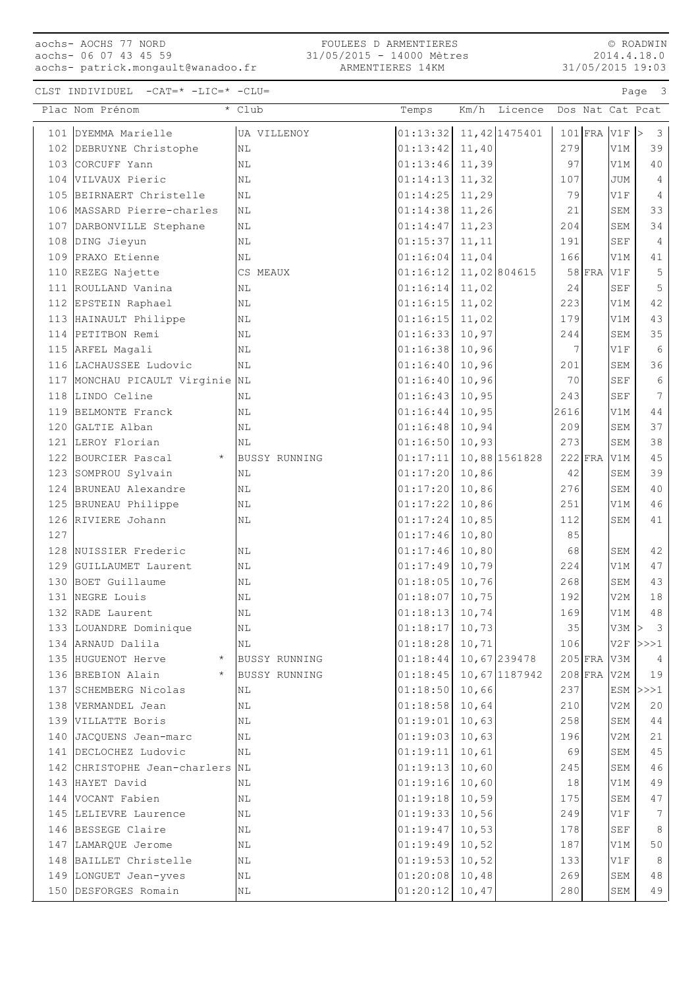### aochs- AOCHS 77 NORD aochs- 06 07 43 45 59 aochs- patrick.mongault@wanadoo.fr

FOULEES D ARMENTIERES 31/05/2015 - 14000 Mètres ARMENTIERES 14KM

© ROADWIN 2014.4.18.0 31/05/2015 19:03

|     | Plac Nom Prénom                                 | * Club               | Temps                | Km/h           | Licence        |           |           |            | Dos Nat Cat Pcat              |
|-----|-------------------------------------------------|----------------------|----------------------|----------------|----------------|-----------|-----------|------------|-------------------------------|
| 101 | DYEMMA Marielle                                 | UA VILLENOY          | 01:13:32             |                | 11, 42 1475401 |           | $101$ FRA | V1F        | $\mathbf{3}$<br>$\Rightarrow$ |
|     | 102 DEBRUYNE Christophe                         | N <sub>L</sub>       | 01:13:42             | 11,40          |                | 279       |           | V1M        | 39                            |
|     | 103 CORCUFF Yann                                | ΝL                   | 01:13:46             | 11,39          |                | 97        |           | V1M        | 40                            |
|     | 104 VILVAUX Pieric                              | $\rm NL$             | 01:14:13             | 11,32          |                | 107       |           | <b>JUM</b> | $\overline{4}$                |
|     | 105 BEIRNAERT Christelle                        | <b>NL</b>            | 01:14:25             | 11,29          |                | 79        |           | V1F        | $\sqrt{4}$                    |
|     | 106 MASSARD Pierre-charles                      | NL                   | 01:14:38             | 11,26          |                | 21        |           | SEM        | 33                            |
|     | 107 DARBONVILLE Stephane                        | N <sub>L</sub>       | 01:14:47             | 11,23          |                | 204       |           | SEM        | 34                            |
|     | 108 DING Jieyun                                 | ΝL                   | 01:15:37             | 11,11          |                | 191       |           | <b>SEF</b> | $\sqrt{4}$                    |
|     | 109 PRAXO Etienne                               | NL                   | 01:16:04             | 11,04          |                | 166       |           | V1M        | 41                            |
|     | 110 REZEG Najette                               | CS MEAUX             | 01:16:12             |                | 11,02 804615   |           | $58$ FRA  | V1F        | $\mathsf S$                   |
|     | 111 ROULLAND Vanina                             | NL                   | 01:16:14             | 11,02          |                | 24        |           | SEF        | 5                             |
|     | 112 EPSTEIN Raphael                             | NL                   | 01:16:15             | 11,02          |                | 223       |           | V1M        | 42                            |
|     | 113 HAINAULT Philippe                           | ΝL                   | 01:16:15             | 11,02          |                | 179       |           | V1M        | 43                            |
|     | 114 PETITBON Remi                               | NL                   | 01:16:33             | 10,97          |                | 244       |           | SEM        | 35                            |
|     | 115 ARFEL Magali                                | NL                   | 01:16:38             | 10,96          |                | 7         |           | V1F        | $\sqrt{6}$                    |
|     | 116 LACHAUSSEE Ludovic                          | NL                   | 01:16:40             | 10,96          |                | 201       |           | SEM        | 36                            |
|     | 117 MONCHAU PICAULT Virginie NL                 |                      | 01:16:40             | 10,96          |                | 70        |           | SEF        | $\sqrt{6}$                    |
|     | 118 LINDO Celine                                | ΝL                   | 01:16:43             | 10,95          |                | 243       |           | <b>SEF</b> | $7\phantom{.0}$               |
|     | 119 BELMONTE Franck                             | NL                   | 01:16:44             | 10,95          |                | 2616      |           | V1M        | $4\;4$                        |
|     | 120 GALTIE Alban                                | N <sub>L</sub>       | 01:16:48             | 10,94          |                | 209       |           | SEM        | 37                            |
|     | 121 LEROY Florian                               | NL                   | 01:16:50             | 10,93          |                | 273       |           | SEM        | 38                            |
|     | 122 BOURCIER Pascal<br>$\star$                  | <b>BUSSY RUNNING</b> | 01:17:11             |                | 10,88 1561828  |           | $222$ FRA | V1M        | 45                            |
|     | 123 SOMPROU Sylvain                             | ΝL                   | 01:17:20             | 10,86          |                | 42        |           | SEM        | 39                            |
|     | 124 BRUNEAU Alexandre                           | NL                   | 01:17:20             | 10,86          |                | 276       |           | SEM        | 40                            |
|     | 125 BRUNEAU Philippe                            | NL                   | 01:17:22             | 10,86          |                | 251       |           | V1M        | 46                            |
|     | 126 RIVIERE Johann                              | ΝL                   | 01:17:24             | 10,85          |                | 112       |           | SEM        | 41                            |
| 127 |                                                 |                      | 01:17:46             | 10,80          |                | 85        |           |            |                               |
|     | 128 NUISSIER Frederic                           | NL                   | 01:17:46             | 10,80          |                | 68        |           | SEM        | 42                            |
|     | 129 GUILLAUMET Laurent                          | NL                   | 01:17:49             | 10,79          |                | 224       |           | V1M        | 47                            |
|     | 130 BOET Guillaume                              | NL                   | 01:18:05             | 10,76          |                | 268       |           | SEM        | 43                            |
|     | 131 NEGRE Louis                                 | ΝL                   | 01:18:07             | 10,75          |                | 192       |           | V2M        | $1\,8$                        |
|     | 132 RADE Laurent                                | N <sub>L</sub>       | 01:18:13             | 10,74          |                | 169       |           | V1M        | $4\,8$                        |
|     | 133 LOUANDRE Dominique                          | $\rm NL$             | $01:18:17$ 10,73     |                |                | 35        |           | $V3M$ >    | $\mathcal{S}$                 |
|     | 134 ARNAUD Dalila                               | ΝL                   | 01:18:28             | 10,71          |                | 106       |           | V2F        | >>>1                          |
|     | 135 HUGUENOT Herve                              | <b>BUSSY RUNNING</b> | 01:18:44             |                | 10,67 239478   |           | $205$ FRA | V3M        | 4                             |
|     | 136 BREBION Alain<br>$\star$                    | <b>BUSSY RUNNING</b> | 01:18:45             |                | 10,67 1187942  |           | $208$ FRA | V2M        | 19                            |
|     | 137 SCHEMBERG Nicolas                           | ΝL                   | 01:18:50             | 10,66          |                | 237       |           |            | ESM $ >>$ 1                   |
|     | 138 VERMANDEL Jean                              | ΝL                   | 01:18:58             | 10,64          |                | 210       |           | V2M        | 20                            |
|     | 139 VILLATTE Boris                              | NL                   | 01:19:01             | 10,63          |                | 258       |           | SEM<br>V2M | $4\,4$                        |
|     | 140 JACQUENS Jean-marc<br>141 DECLOCHEZ Ludovic | ΝL<br>ΝL             | 01:19:03<br>01:19:11 | 10,63<br>10,61 |                | 196<br>69 |           | SEM        | 21<br>45                      |
|     | 142 CHRISTOPHE Jean-charlers NL                 |                      | 01:19:13             | 10,60          |                | 245       |           | SEM        | 46                            |
|     | 143 HAYET David                                 | ΝL                   | 01:19:16             | 10,60          |                | 18        |           | V1M        | 49                            |
|     | 144 VOCANT Fabien                               | ΝL                   | 01:19:18             | 10,59          |                | 175       |           | SEM        | 47                            |
|     | 145 LELIEVRE Laurence                           | ΝL                   | 01:19:33             | 10,56          |                | 249       |           | V1F        | 7                             |
|     | 146 BESSEGE Claire                              | ΝL                   | 01:19:47             | 10,53          |                | 178       |           | <b>SEF</b> | 8                             |
|     | 147 LAMARQUE Jerome                             | ΝL                   | 01:19:49             | 10,52          |                | 187       |           | V1M        | 50                            |
|     | 148 BAILLET Christelle                          | ΝL                   | 01:19:53             | 10,52          |                | 133       |           | V1F        | 8                             |
|     | 149 LONGUET Jean-yves                           | ΝL                   | 01:20:08             | 10,48          |                | 269       |           | SEM        | 48                            |
|     | 150 DESFORGES Romain                            | ΝL                   | 01:20:12             | 10,47          |                | 280       |           | SEM        | 49                            |
|     |                                                 |                      |                      |                |                |           |           |            |                               |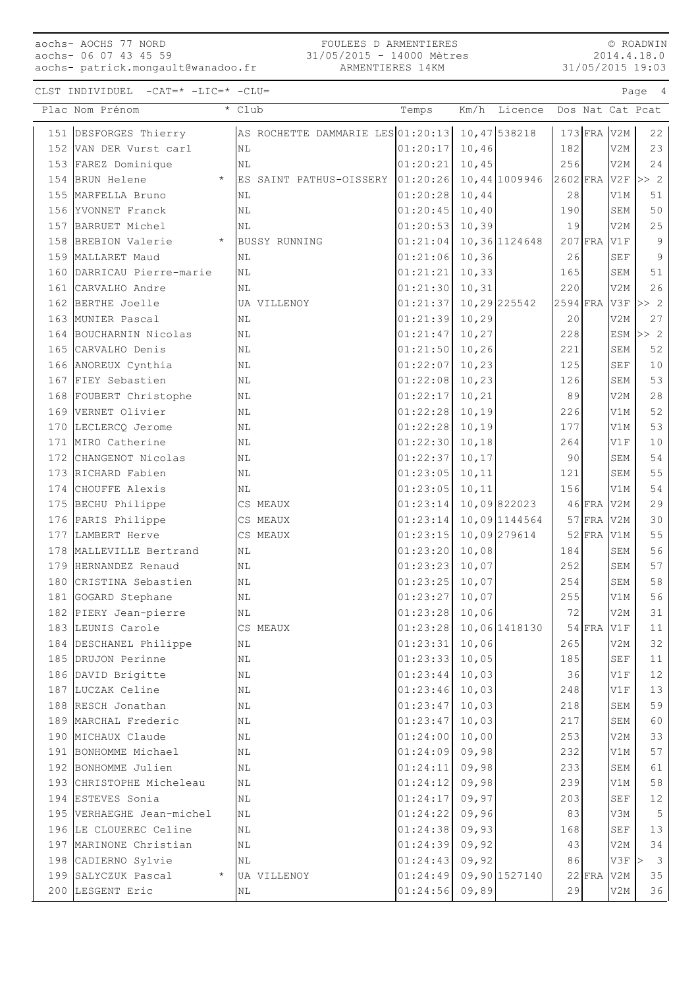# aochs- AOCHS 77 NORD aochs- 06 07 43 45 59

aochs- patrick.mongault@wanadoo.fr

#### FOULEES D ARMENTIERES 31/05/2015 - 14000 Mètres ARMENTIERES 14KM

© ROADWIN 2014.4.18.0 31/05/2015 19:03

| AS ROCHETTE DAMMARIE LES 01:20:13 10,47 538218<br>$173$ FRA V2M<br>22<br>151 DESFORGES Thierry<br>01:20:17<br>10,46<br>182<br>V2M<br>23<br>152 VAN DER Vurst carl<br>ΝL<br>01:20:21<br>153 FAREZ Dominique<br>10,45<br>256<br>V2M<br>24<br>NL<br>154 BRUN Helene<br>01:20:26<br>10,44 1009946<br>$2602$ FRA<br>V2F<br>>> 2<br>$\star$<br>ES SAINT PATHUS-OISSERY<br>155 MARFELLA Bruno<br>01:20:28<br>10,44<br>NL<br>28<br>V1M<br>51<br>01:20:45<br>10,40<br>50<br>156 YVONNET Franck<br>190<br>SEM<br>ΝL<br>01:20:53<br>10, 39<br>25<br>157 BARRUET Michel<br>19<br>V2M<br>ΝL<br>01:21:04<br>$207$ FRA<br>9<br>158 BREBION Valerie<br>$\star$<br><b>BUSSY RUNNING</b><br>10,36 1124648<br>V1F<br>$\mathcal{G}$<br>01:21:06<br>10, 36<br>26<br>159 MALLARET Maud<br><b>SEF</b><br>ΝL<br>160 DARRICAU Pierre-marie<br>01:21:21<br>10, 33<br>165<br>51<br>NL<br>SEM<br>26<br>161 CARVALHO Andre<br>01:21:30<br>10, 31<br>220<br>V2M<br>ΝL<br>162 BERTHE Joelle<br>01:21:37<br>10,29 225542<br>$2594$ FRA<br>>> 2<br>V3F<br>UA VILLENOY<br>163<br>MUNIER Pascal<br>01:21:39<br>10,29<br>20<br>V2M<br>27<br>NL<br>164 BOUCHARNIN Nicolas<br>01:21:47<br>228<br>>> 2<br>10,27<br>ESM<br>ΝL<br>165 CARVALHO Denis<br>01:21:50<br>221<br>52<br>10, 26<br>SEM<br>ΝL<br>10, 23<br>166 ANOREUX Cynthia<br>01:22:07<br>125<br><b>SEF</b><br>10<br>ΝL<br>167 FIEY Sebastien<br>01:22:08<br>10, 23<br>53<br>126<br>SEM<br>ΝL<br>01:22:17<br>89<br>V2M<br>28<br>168 FOUBERT Christophe<br>NL<br>10, 21<br>52<br>169 VERNET Olivier<br>01:22:28<br>10, 19<br>226<br>V1M<br>ΝL<br>01:22:28<br>53<br>170 LECLERCQ Jerome<br>10, 19<br>NL<br>177<br>V1M<br>01:22:30<br>10, 18<br>264<br>V1F<br>10<br>171 MIRO Catherine<br>NL<br>54<br>172 CHANGENOT Nicolas<br>01:22:37<br>10, 17<br>90<br>SEM<br>ΝL<br>55<br>173 RICHARD Fabien<br>01:23:05<br>121<br>NL<br>10, 11<br>SEM<br>174 CHOUFFE Alexis<br>01:23:05<br>54<br>10, 11<br>156<br>V1M<br>ΝL<br>01:23:14<br>10,09 822023<br>29<br>175 BECHU Philippe<br>$46$ FRA<br>V2M<br>CS MEAUX<br>10,09 1144564<br>176 PARIS Philippe<br>01:23:14<br>$57$ FRA<br>V2M<br>30<br>CS MEAUX<br>10,09 279614<br>$52$ FRA<br>55<br>177 LAMBERT Herve<br>CS MEAUX<br>01:23:15<br>V1M<br>01:23:20<br>10,08<br>56<br>178 MALLEVILLE Bertrand<br>184<br>SEM<br>ΝL<br>57<br>01:23:23<br>10,07<br>179 HERNANDEZ Renaud<br>252<br>SEM<br>ΝL<br>01:23:25<br>180 CRISTINA Sebastien<br>10,07<br>254<br>58<br>SEM<br>ΝL<br>56<br>01:23:27<br>10,07<br>255<br>181 GOGARD Stephane<br>NL<br>V1M<br>182 PIERY Jean-pierre<br>01:23:28<br>10,06<br>72<br>31<br>V2M<br>ΝL<br>183 LEUNIS Carole<br>$01:23:28$ 10,06 1418130<br>$54$ FRA V1F<br>CS MEAUX<br>11<br>32<br>184 DESCHANEL Philippe<br>01:23:31<br>10,06<br>265<br>V2M<br>ΝL<br>01:23:33<br>185 DRUJON Perinne<br>10,05<br>185<br>SEF<br>NL<br>11<br>186 DAVID Brigitte<br>01:23:44<br>10,03<br>36<br>$12$<br>$\rm NL$<br>V1F<br>187 LUCZAK Celine<br>01:23:46<br>10,03<br>248<br>13<br>V1F<br>ΝL<br>59<br>188 RESCH Jonathan<br>01:23:47<br>218<br>$\rm NL$<br>10,03<br>SEM<br>189 MARCHAL Frederic<br>01:23:47<br>10,03<br>217<br>60<br>SEM<br>ΝL<br>01:24:00<br>190 MICHAUX Claude<br>10,00<br>253<br>V2M<br>33<br>ΝL<br>191 BONHOMME Michael<br>01:24:09<br>09,98<br>232<br>57<br>$\rm NL$<br>V1M<br>192 BONHOMME Julien<br>01:24:11<br>09,98<br>233<br>SEM<br>61<br>ΝL<br>193 CHRISTOPHE Micheleau<br>01:24:12<br>09,98<br>239<br>$5\,8$<br>$\rm NL$<br>V1M<br>01:24:17<br>194 ESTEVES Sonia<br>09,97<br>203<br>$\operatorname{SEF}$<br>12<br>ΝL<br>195 VERHAEGHE Jean-michel<br>01:24:22<br>09,96<br>83<br>$\mathsf S$<br>V3M<br>ΝL<br>196 LE CLOUEREC Celine<br>01:24:38<br>09,93<br>168<br>13<br><b>SEF</b><br>ΝL<br>197 MARINONE Christian<br>01:24:39<br>09,92<br>43<br>34<br>V2M<br>ΝL<br>$\overline{\mathbf{3}}$<br>198 CADIERNO Sylvie<br>01:24:43<br>09,92<br>86<br>V3F<br>$\rm NL$<br>><br>199 SALYCZUK Pascal<br>01:24:49<br>09,90 1527140<br>35<br>$22$ FRA<br>V2M<br>UA VILLENOY<br>200 LESGENT Eric<br>01:24:56<br>09,89<br>29<br>36<br>V2M<br>ΝL | Plac Nom Prénom | * Club | Temps | Km/h | Licence |  | Dos Nat Cat Pcat |
|---------------------------------------------------------------------------------------------------------------------------------------------------------------------------------------------------------------------------------------------------------------------------------------------------------------------------------------------------------------------------------------------------------------------------------------------------------------------------------------------------------------------------------------------------------------------------------------------------------------------------------------------------------------------------------------------------------------------------------------------------------------------------------------------------------------------------------------------------------------------------------------------------------------------------------------------------------------------------------------------------------------------------------------------------------------------------------------------------------------------------------------------------------------------------------------------------------------------------------------------------------------------------------------------------------------------------------------------------------------------------------------------------------------------------------------------------------------------------------------------------------------------------------------------------------------------------------------------------------------------------------------------------------------------------------------------------------------------------------------------------------------------------------------------------------------------------------------------------------------------------------------------------------------------------------------------------------------------------------------------------------------------------------------------------------------------------------------------------------------------------------------------------------------------------------------------------------------------------------------------------------------------------------------------------------------------------------------------------------------------------------------------------------------------------------------------------------------------------------------------------------------------------------------------------------------------------------------------------------------------------------------------------------------------------------------------------------------------------------------------------------------------------------------------------------------------------------------------------------------------------------------------------------------------------------------------------------------------------------------------------------------------------------------------------------------------------------------------------------------------------------------------------------------------------------------------------------------------------------------------------------------------------------------------------------------------------------------------------------------------------------------------------------------------------------------------------------------------------------------------------------------------------------------------------------------------------------------------------------------------------------------------------------------------------------------------------------------------------------------------------------------------------------------------------------------------------------------------------------------------------------------------------------------------------------------------------------------------------------------------------------------------------------|-----------------|--------|-------|------|---------|--|------------------|
|                                                                                                                                                                                                                                                                                                                                                                                                                                                                                                                                                                                                                                                                                                                                                                                                                                                                                                                                                                                                                                                                                                                                                                                                                                                                                                                                                                                                                                                                                                                                                                                                                                                                                                                                                                                                                                                                                                                                                                                                                                                                                                                                                                                                                                                                                                                                                                                                                                                                                                                                                                                                                                                                                                                                                                                                                                                                                                                                                                                                                                                                                                                                                                                                                                                                                                                                                                                                                                                                                                                                                                                                                                                                                                                                                                                                                                                                                                                                                                                                                                 |                 |        |       |      |         |  |                  |
|                                                                                                                                                                                                                                                                                                                                                                                                                                                                                                                                                                                                                                                                                                                                                                                                                                                                                                                                                                                                                                                                                                                                                                                                                                                                                                                                                                                                                                                                                                                                                                                                                                                                                                                                                                                                                                                                                                                                                                                                                                                                                                                                                                                                                                                                                                                                                                                                                                                                                                                                                                                                                                                                                                                                                                                                                                                                                                                                                                                                                                                                                                                                                                                                                                                                                                                                                                                                                                                                                                                                                                                                                                                                                                                                                                                                                                                                                                                                                                                                                                 |                 |        |       |      |         |  |                  |
|                                                                                                                                                                                                                                                                                                                                                                                                                                                                                                                                                                                                                                                                                                                                                                                                                                                                                                                                                                                                                                                                                                                                                                                                                                                                                                                                                                                                                                                                                                                                                                                                                                                                                                                                                                                                                                                                                                                                                                                                                                                                                                                                                                                                                                                                                                                                                                                                                                                                                                                                                                                                                                                                                                                                                                                                                                                                                                                                                                                                                                                                                                                                                                                                                                                                                                                                                                                                                                                                                                                                                                                                                                                                                                                                                                                                                                                                                                                                                                                                                                 |                 |        |       |      |         |  |                  |
|                                                                                                                                                                                                                                                                                                                                                                                                                                                                                                                                                                                                                                                                                                                                                                                                                                                                                                                                                                                                                                                                                                                                                                                                                                                                                                                                                                                                                                                                                                                                                                                                                                                                                                                                                                                                                                                                                                                                                                                                                                                                                                                                                                                                                                                                                                                                                                                                                                                                                                                                                                                                                                                                                                                                                                                                                                                                                                                                                                                                                                                                                                                                                                                                                                                                                                                                                                                                                                                                                                                                                                                                                                                                                                                                                                                                                                                                                                                                                                                                                                 |                 |        |       |      |         |  |                  |
|                                                                                                                                                                                                                                                                                                                                                                                                                                                                                                                                                                                                                                                                                                                                                                                                                                                                                                                                                                                                                                                                                                                                                                                                                                                                                                                                                                                                                                                                                                                                                                                                                                                                                                                                                                                                                                                                                                                                                                                                                                                                                                                                                                                                                                                                                                                                                                                                                                                                                                                                                                                                                                                                                                                                                                                                                                                                                                                                                                                                                                                                                                                                                                                                                                                                                                                                                                                                                                                                                                                                                                                                                                                                                                                                                                                                                                                                                                                                                                                                                                 |                 |        |       |      |         |  |                  |
|                                                                                                                                                                                                                                                                                                                                                                                                                                                                                                                                                                                                                                                                                                                                                                                                                                                                                                                                                                                                                                                                                                                                                                                                                                                                                                                                                                                                                                                                                                                                                                                                                                                                                                                                                                                                                                                                                                                                                                                                                                                                                                                                                                                                                                                                                                                                                                                                                                                                                                                                                                                                                                                                                                                                                                                                                                                                                                                                                                                                                                                                                                                                                                                                                                                                                                                                                                                                                                                                                                                                                                                                                                                                                                                                                                                                                                                                                                                                                                                                                                 |                 |        |       |      |         |  |                  |
|                                                                                                                                                                                                                                                                                                                                                                                                                                                                                                                                                                                                                                                                                                                                                                                                                                                                                                                                                                                                                                                                                                                                                                                                                                                                                                                                                                                                                                                                                                                                                                                                                                                                                                                                                                                                                                                                                                                                                                                                                                                                                                                                                                                                                                                                                                                                                                                                                                                                                                                                                                                                                                                                                                                                                                                                                                                                                                                                                                                                                                                                                                                                                                                                                                                                                                                                                                                                                                                                                                                                                                                                                                                                                                                                                                                                                                                                                                                                                                                                                                 |                 |        |       |      |         |  |                  |
|                                                                                                                                                                                                                                                                                                                                                                                                                                                                                                                                                                                                                                                                                                                                                                                                                                                                                                                                                                                                                                                                                                                                                                                                                                                                                                                                                                                                                                                                                                                                                                                                                                                                                                                                                                                                                                                                                                                                                                                                                                                                                                                                                                                                                                                                                                                                                                                                                                                                                                                                                                                                                                                                                                                                                                                                                                                                                                                                                                                                                                                                                                                                                                                                                                                                                                                                                                                                                                                                                                                                                                                                                                                                                                                                                                                                                                                                                                                                                                                                                                 |                 |        |       |      |         |  |                  |
|                                                                                                                                                                                                                                                                                                                                                                                                                                                                                                                                                                                                                                                                                                                                                                                                                                                                                                                                                                                                                                                                                                                                                                                                                                                                                                                                                                                                                                                                                                                                                                                                                                                                                                                                                                                                                                                                                                                                                                                                                                                                                                                                                                                                                                                                                                                                                                                                                                                                                                                                                                                                                                                                                                                                                                                                                                                                                                                                                                                                                                                                                                                                                                                                                                                                                                                                                                                                                                                                                                                                                                                                                                                                                                                                                                                                                                                                                                                                                                                                                                 |                 |        |       |      |         |  |                  |
|                                                                                                                                                                                                                                                                                                                                                                                                                                                                                                                                                                                                                                                                                                                                                                                                                                                                                                                                                                                                                                                                                                                                                                                                                                                                                                                                                                                                                                                                                                                                                                                                                                                                                                                                                                                                                                                                                                                                                                                                                                                                                                                                                                                                                                                                                                                                                                                                                                                                                                                                                                                                                                                                                                                                                                                                                                                                                                                                                                                                                                                                                                                                                                                                                                                                                                                                                                                                                                                                                                                                                                                                                                                                                                                                                                                                                                                                                                                                                                                                                                 |                 |        |       |      |         |  |                  |
|                                                                                                                                                                                                                                                                                                                                                                                                                                                                                                                                                                                                                                                                                                                                                                                                                                                                                                                                                                                                                                                                                                                                                                                                                                                                                                                                                                                                                                                                                                                                                                                                                                                                                                                                                                                                                                                                                                                                                                                                                                                                                                                                                                                                                                                                                                                                                                                                                                                                                                                                                                                                                                                                                                                                                                                                                                                                                                                                                                                                                                                                                                                                                                                                                                                                                                                                                                                                                                                                                                                                                                                                                                                                                                                                                                                                                                                                                                                                                                                                                                 |                 |        |       |      |         |  |                  |
|                                                                                                                                                                                                                                                                                                                                                                                                                                                                                                                                                                                                                                                                                                                                                                                                                                                                                                                                                                                                                                                                                                                                                                                                                                                                                                                                                                                                                                                                                                                                                                                                                                                                                                                                                                                                                                                                                                                                                                                                                                                                                                                                                                                                                                                                                                                                                                                                                                                                                                                                                                                                                                                                                                                                                                                                                                                                                                                                                                                                                                                                                                                                                                                                                                                                                                                                                                                                                                                                                                                                                                                                                                                                                                                                                                                                                                                                                                                                                                                                                                 |                 |        |       |      |         |  |                  |
|                                                                                                                                                                                                                                                                                                                                                                                                                                                                                                                                                                                                                                                                                                                                                                                                                                                                                                                                                                                                                                                                                                                                                                                                                                                                                                                                                                                                                                                                                                                                                                                                                                                                                                                                                                                                                                                                                                                                                                                                                                                                                                                                                                                                                                                                                                                                                                                                                                                                                                                                                                                                                                                                                                                                                                                                                                                                                                                                                                                                                                                                                                                                                                                                                                                                                                                                                                                                                                                                                                                                                                                                                                                                                                                                                                                                                                                                                                                                                                                                                                 |                 |        |       |      |         |  |                  |
|                                                                                                                                                                                                                                                                                                                                                                                                                                                                                                                                                                                                                                                                                                                                                                                                                                                                                                                                                                                                                                                                                                                                                                                                                                                                                                                                                                                                                                                                                                                                                                                                                                                                                                                                                                                                                                                                                                                                                                                                                                                                                                                                                                                                                                                                                                                                                                                                                                                                                                                                                                                                                                                                                                                                                                                                                                                                                                                                                                                                                                                                                                                                                                                                                                                                                                                                                                                                                                                                                                                                                                                                                                                                                                                                                                                                                                                                                                                                                                                                                                 |                 |        |       |      |         |  |                  |
|                                                                                                                                                                                                                                                                                                                                                                                                                                                                                                                                                                                                                                                                                                                                                                                                                                                                                                                                                                                                                                                                                                                                                                                                                                                                                                                                                                                                                                                                                                                                                                                                                                                                                                                                                                                                                                                                                                                                                                                                                                                                                                                                                                                                                                                                                                                                                                                                                                                                                                                                                                                                                                                                                                                                                                                                                                                                                                                                                                                                                                                                                                                                                                                                                                                                                                                                                                                                                                                                                                                                                                                                                                                                                                                                                                                                                                                                                                                                                                                                                                 |                 |        |       |      |         |  |                  |
|                                                                                                                                                                                                                                                                                                                                                                                                                                                                                                                                                                                                                                                                                                                                                                                                                                                                                                                                                                                                                                                                                                                                                                                                                                                                                                                                                                                                                                                                                                                                                                                                                                                                                                                                                                                                                                                                                                                                                                                                                                                                                                                                                                                                                                                                                                                                                                                                                                                                                                                                                                                                                                                                                                                                                                                                                                                                                                                                                                                                                                                                                                                                                                                                                                                                                                                                                                                                                                                                                                                                                                                                                                                                                                                                                                                                                                                                                                                                                                                                                                 |                 |        |       |      |         |  |                  |
|                                                                                                                                                                                                                                                                                                                                                                                                                                                                                                                                                                                                                                                                                                                                                                                                                                                                                                                                                                                                                                                                                                                                                                                                                                                                                                                                                                                                                                                                                                                                                                                                                                                                                                                                                                                                                                                                                                                                                                                                                                                                                                                                                                                                                                                                                                                                                                                                                                                                                                                                                                                                                                                                                                                                                                                                                                                                                                                                                                                                                                                                                                                                                                                                                                                                                                                                                                                                                                                                                                                                                                                                                                                                                                                                                                                                                                                                                                                                                                                                                                 |                 |        |       |      |         |  |                  |
|                                                                                                                                                                                                                                                                                                                                                                                                                                                                                                                                                                                                                                                                                                                                                                                                                                                                                                                                                                                                                                                                                                                                                                                                                                                                                                                                                                                                                                                                                                                                                                                                                                                                                                                                                                                                                                                                                                                                                                                                                                                                                                                                                                                                                                                                                                                                                                                                                                                                                                                                                                                                                                                                                                                                                                                                                                                                                                                                                                                                                                                                                                                                                                                                                                                                                                                                                                                                                                                                                                                                                                                                                                                                                                                                                                                                                                                                                                                                                                                                                                 |                 |        |       |      |         |  |                  |
|                                                                                                                                                                                                                                                                                                                                                                                                                                                                                                                                                                                                                                                                                                                                                                                                                                                                                                                                                                                                                                                                                                                                                                                                                                                                                                                                                                                                                                                                                                                                                                                                                                                                                                                                                                                                                                                                                                                                                                                                                                                                                                                                                                                                                                                                                                                                                                                                                                                                                                                                                                                                                                                                                                                                                                                                                                                                                                                                                                                                                                                                                                                                                                                                                                                                                                                                                                                                                                                                                                                                                                                                                                                                                                                                                                                                                                                                                                                                                                                                                                 |                 |        |       |      |         |  |                  |
|                                                                                                                                                                                                                                                                                                                                                                                                                                                                                                                                                                                                                                                                                                                                                                                                                                                                                                                                                                                                                                                                                                                                                                                                                                                                                                                                                                                                                                                                                                                                                                                                                                                                                                                                                                                                                                                                                                                                                                                                                                                                                                                                                                                                                                                                                                                                                                                                                                                                                                                                                                                                                                                                                                                                                                                                                                                                                                                                                                                                                                                                                                                                                                                                                                                                                                                                                                                                                                                                                                                                                                                                                                                                                                                                                                                                                                                                                                                                                                                                                                 |                 |        |       |      |         |  |                  |
|                                                                                                                                                                                                                                                                                                                                                                                                                                                                                                                                                                                                                                                                                                                                                                                                                                                                                                                                                                                                                                                                                                                                                                                                                                                                                                                                                                                                                                                                                                                                                                                                                                                                                                                                                                                                                                                                                                                                                                                                                                                                                                                                                                                                                                                                                                                                                                                                                                                                                                                                                                                                                                                                                                                                                                                                                                                                                                                                                                                                                                                                                                                                                                                                                                                                                                                                                                                                                                                                                                                                                                                                                                                                                                                                                                                                                                                                                                                                                                                                                                 |                 |        |       |      |         |  |                  |
|                                                                                                                                                                                                                                                                                                                                                                                                                                                                                                                                                                                                                                                                                                                                                                                                                                                                                                                                                                                                                                                                                                                                                                                                                                                                                                                                                                                                                                                                                                                                                                                                                                                                                                                                                                                                                                                                                                                                                                                                                                                                                                                                                                                                                                                                                                                                                                                                                                                                                                                                                                                                                                                                                                                                                                                                                                                                                                                                                                                                                                                                                                                                                                                                                                                                                                                                                                                                                                                                                                                                                                                                                                                                                                                                                                                                                                                                                                                                                                                                                                 |                 |        |       |      |         |  |                  |
|                                                                                                                                                                                                                                                                                                                                                                                                                                                                                                                                                                                                                                                                                                                                                                                                                                                                                                                                                                                                                                                                                                                                                                                                                                                                                                                                                                                                                                                                                                                                                                                                                                                                                                                                                                                                                                                                                                                                                                                                                                                                                                                                                                                                                                                                                                                                                                                                                                                                                                                                                                                                                                                                                                                                                                                                                                                                                                                                                                                                                                                                                                                                                                                                                                                                                                                                                                                                                                                                                                                                                                                                                                                                                                                                                                                                                                                                                                                                                                                                                                 |                 |        |       |      |         |  |                  |
|                                                                                                                                                                                                                                                                                                                                                                                                                                                                                                                                                                                                                                                                                                                                                                                                                                                                                                                                                                                                                                                                                                                                                                                                                                                                                                                                                                                                                                                                                                                                                                                                                                                                                                                                                                                                                                                                                                                                                                                                                                                                                                                                                                                                                                                                                                                                                                                                                                                                                                                                                                                                                                                                                                                                                                                                                                                                                                                                                                                                                                                                                                                                                                                                                                                                                                                                                                                                                                                                                                                                                                                                                                                                                                                                                                                                                                                                                                                                                                                                                                 |                 |        |       |      |         |  |                  |
|                                                                                                                                                                                                                                                                                                                                                                                                                                                                                                                                                                                                                                                                                                                                                                                                                                                                                                                                                                                                                                                                                                                                                                                                                                                                                                                                                                                                                                                                                                                                                                                                                                                                                                                                                                                                                                                                                                                                                                                                                                                                                                                                                                                                                                                                                                                                                                                                                                                                                                                                                                                                                                                                                                                                                                                                                                                                                                                                                                                                                                                                                                                                                                                                                                                                                                                                                                                                                                                                                                                                                                                                                                                                                                                                                                                                                                                                                                                                                                                                                                 |                 |        |       |      |         |  |                  |
|                                                                                                                                                                                                                                                                                                                                                                                                                                                                                                                                                                                                                                                                                                                                                                                                                                                                                                                                                                                                                                                                                                                                                                                                                                                                                                                                                                                                                                                                                                                                                                                                                                                                                                                                                                                                                                                                                                                                                                                                                                                                                                                                                                                                                                                                                                                                                                                                                                                                                                                                                                                                                                                                                                                                                                                                                                                                                                                                                                                                                                                                                                                                                                                                                                                                                                                                                                                                                                                                                                                                                                                                                                                                                                                                                                                                                                                                                                                                                                                                                                 |                 |        |       |      |         |  |                  |
|                                                                                                                                                                                                                                                                                                                                                                                                                                                                                                                                                                                                                                                                                                                                                                                                                                                                                                                                                                                                                                                                                                                                                                                                                                                                                                                                                                                                                                                                                                                                                                                                                                                                                                                                                                                                                                                                                                                                                                                                                                                                                                                                                                                                                                                                                                                                                                                                                                                                                                                                                                                                                                                                                                                                                                                                                                                                                                                                                                                                                                                                                                                                                                                                                                                                                                                                                                                                                                                                                                                                                                                                                                                                                                                                                                                                                                                                                                                                                                                                                                 |                 |        |       |      |         |  |                  |
|                                                                                                                                                                                                                                                                                                                                                                                                                                                                                                                                                                                                                                                                                                                                                                                                                                                                                                                                                                                                                                                                                                                                                                                                                                                                                                                                                                                                                                                                                                                                                                                                                                                                                                                                                                                                                                                                                                                                                                                                                                                                                                                                                                                                                                                                                                                                                                                                                                                                                                                                                                                                                                                                                                                                                                                                                                                                                                                                                                                                                                                                                                                                                                                                                                                                                                                                                                                                                                                                                                                                                                                                                                                                                                                                                                                                                                                                                                                                                                                                                                 |                 |        |       |      |         |  |                  |
|                                                                                                                                                                                                                                                                                                                                                                                                                                                                                                                                                                                                                                                                                                                                                                                                                                                                                                                                                                                                                                                                                                                                                                                                                                                                                                                                                                                                                                                                                                                                                                                                                                                                                                                                                                                                                                                                                                                                                                                                                                                                                                                                                                                                                                                                                                                                                                                                                                                                                                                                                                                                                                                                                                                                                                                                                                                                                                                                                                                                                                                                                                                                                                                                                                                                                                                                                                                                                                                                                                                                                                                                                                                                                                                                                                                                                                                                                                                                                                                                                                 |                 |        |       |      |         |  |                  |
|                                                                                                                                                                                                                                                                                                                                                                                                                                                                                                                                                                                                                                                                                                                                                                                                                                                                                                                                                                                                                                                                                                                                                                                                                                                                                                                                                                                                                                                                                                                                                                                                                                                                                                                                                                                                                                                                                                                                                                                                                                                                                                                                                                                                                                                                                                                                                                                                                                                                                                                                                                                                                                                                                                                                                                                                                                                                                                                                                                                                                                                                                                                                                                                                                                                                                                                                                                                                                                                                                                                                                                                                                                                                                                                                                                                                                                                                                                                                                                                                                                 |                 |        |       |      |         |  |                  |
|                                                                                                                                                                                                                                                                                                                                                                                                                                                                                                                                                                                                                                                                                                                                                                                                                                                                                                                                                                                                                                                                                                                                                                                                                                                                                                                                                                                                                                                                                                                                                                                                                                                                                                                                                                                                                                                                                                                                                                                                                                                                                                                                                                                                                                                                                                                                                                                                                                                                                                                                                                                                                                                                                                                                                                                                                                                                                                                                                                                                                                                                                                                                                                                                                                                                                                                                                                                                                                                                                                                                                                                                                                                                                                                                                                                                                                                                                                                                                                                                                                 |                 |        |       |      |         |  |                  |
|                                                                                                                                                                                                                                                                                                                                                                                                                                                                                                                                                                                                                                                                                                                                                                                                                                                                                                                                                                                                                                                                                                                                                                                                                                                                                                                                                                                                                                                                                                                                                                                                                                                                                                                                                                                                                                                                                                                                                                                                                                                                                                                                                                                                                                                                                                                                                                                                                                                                                                                                                                                                                                                                                                                                                                                                                                                                                                                                                                                                                                                                                                                                                                                                                                                                                                                                                                                                                                                                                                                                                                                                                                                                                                                                                                                                                                                                                                                                                                                                                                 |                 |        |       |      |         |  |                  |
|                                                                                                                                                                                                                                                                                                                                                                                                                                                                                                                                                                                                                                                                                                                                                                                                                                                                                                                                                                                                                                                                                                                                                                                                                                                                                                                                                                                                                                                                                                                                                                                                                                                                                                                                                                                                                                                                                                                                                                                                                                                                                                                                                                                                                                                                                                                                                                                                                                                                                                                                                                                                                                                                                                                                                                                                                                                                                                                                                                                                                                                                                                                                                                                                                                                                                                                                                                                                                                                                                                                                                                                                                                                                                                                                                                                                                                                                                                                                                                                                                                 |                 |        |       |      |         |  |                  |
|                                                                                                                                                                                                                                                                                                                                                                                                                                                                                                                                                                                                                                                                                                                                                                                                                                                                                                                                                                                                                                                                                                                                                                                                                                                                                                                                                                                                                                                                                                                                                                                                                                                                                                                                                                                                                                                                                                                                                                                                                                                                                                                                                                                                                                                                                                                                                                                                                                                                                                                                                                                                                                                                                                                                                                                                                                                                                                                                                                                                                                                                                                                                                                                                                                                                                                                                                                                                                                                                                                                                                                                                                                                                                                                                                                                                                                                                                                                                                                                                                                 |                 |        |       |      |         |  |                  |
|                                                                                                                                                                                                                                                                                                                                                                                                                                                                                                                                                                                                                                                                                                                                                                                                                                                                                                                                                                                                                                                                                                                                                                                                                                                                                                                                                                                                                                                                                                                                                                                                                                                                                                                                                                                                                                                                                                                                                                                                                                                                                                                                                                                                                                                                                                                                                                                                                                                                                                                                                                                                                                                                                                                                                                                                                                                                                                                                                                                                                                                                                                                                                                                                                                                                                                                                                                                                                                                                                                                                                                                                                                                                                                                                                                                                                                                                                                                                                                                                                                 |                 |        |       |      |         |  |                  |
|                                                                                                                                                                                                                                                                                                                                                                                                                                                                                                                                                                                                                                                                                                                                                                                                                                                                                                                                                                                                                                                                                                                                                                                                                                                                                                                                                                                                                                                                                                                                                                                                                                                                                                                                                                                                                                                                                                                                                                                                                                                                                                                                                                                                                                                                                                                                                                                                                                                                                                                                                                                                                                                                                                                                                                                                                                                                                                                                                                                                                                                                                                                                                                                                                                                                                                                                                                                                                                                                                                                                                                                                                                                                                                                                                                                                                                                                                                                                                                                                                                 |                 |        |       |      |         |  |                  |
|                                                                                                                                                                                                                                                                                                                                                                                                                                                                                                                                                                                                                                                                                                                                                                                                                                                                                                                                                                                                                                                                                                                                                                                                                                                                                                                                                                                                                                                                                                                                                                                                                                                                                                                                                                                                                                                                                                                                                                                                                                                                                                                                                                                                                                                                                                                                                                                                                                                                                                                                                                                                                                                                                                                                                                                                                                                                                                                                                                                                                                                                                                                                                                                                                                                                                                                                                                                                                                                                                                                                                                                                                                                                                                                                                                                                                                                                                                                                                                                                                                 |                 |        |       |      |         |  |                  |
|                                                                                                                                                                                                                                                                                                                                                                                                                                                                                                                                                                                                                                                                                                                                                                                                                                                                                                                                                                                                                                                                                                                                                                                                                                                                                                                                                                                                                                                                                                                                                                                                                                                                                                                                                                                                                                                                                                                                                                                                                                                                                                                                                                                                                                                                                                                                                                                                                                                                                                                                                                                                                                                                                                                                                                                                                                                                                                                                                                                                                                                                                                                                                                                                                                                                                                                                                                                                                                                                                                                                                                                                                                                                                                                                                                                                                                                                                                                                                                                                                                 |                 |        |       |      |         |  |                  |
|                                                                                                                                                                                                                                                                                                                                                                                                                                                                                                                                                                                                                                                                                                                                                                                                                                                                                                                                                                                                                                                                                                                                                                                                                                                                                                                                                                                                                                                                                                                                                                                                                                                                                                                                                                                                                                                                                                                                                                                                                                                                                                                                                                                                                                                                                                                                                                                                                                                                                                                                                                                                                                                                                                                                                                                                                                                                                                                                                                                                                                                                                                                                                                                                                                                                                                                                                                                                                                                                                                                                                                                                                                                                                                                                                                                                                                                                                                                                                                                                                                 |                 |        |       |      |         |  |                  |
|                                                                                                                                                                                                                                                                                                                                                                                                                                                                                                                                                                                                                                                                                                                                                                                                                                                                                                                                                                                                                                                                                                                                                                                                                                                                                                                                                                                                                                                                                                                                                                                                                                                                                                                                                                                                                                                                                                                                                                                                                                                                                                                                                                                                                                                                                                                                                                                                                                                                                                                                                                                                                                                                                                                                                                                                                                                                                                                                                                                                                                                                                                                                                                                                                                                                                                                                                                                                                                                                                                                                                                                                                                                                                                                                                                                                                                                                                                                                                                                                                                 |                 |        |       |      |         |  |                  |
|                                                                                                                                                                                                                                                                                                                                                                                                                                                                                                                                                                                                                                                                                                                                                                                                                                                                                                                                                                                                                                                                                                                                                                                                                                                                                                                                                                                                                                                                                                                                                                                                                                                                                                                                                                                                                                                                                                                                                                                                                                                                                                                                                                                                                                                                                                                                                                                                                                                                                                                                                                                                                                                                                                                                                                                                                                                                                                                                                                                                                                                                                                                                                                                                                                                                                                                                                                                                                                                                                                                                                                                                                                                                                                                                                                                                                                                                                                                                                                                                                                 |                 |        |       |      |         |  |                  |
|                                                                                                                                                                                                                                                                                                                                                                                                                                                                                                                                                                                                                                                                                                                                                                                                                                                                                                                                                                                                                                                                                                                                                                                                                                                                                                                                                                                                                                                                                                                                                                                                                                                                                                                                                                                                                                                                                                                                                                                                                                                                                                                                                                                                                                                                                                                                                                                                                                                                                                                                                                                                                                                                                                                                                                                                                                                                                                                                                                                                                                                                                                                                                                                                                                                                                                                                                                                                                                                                                                                                                                                                                                                                                                                                                                                                                                                                                                                                                                                                                                 |                 |        |       |      |         |  |                  |
|                                                                                                                                                                                                                                                                                                                                                                                                                                                                                                                                                                                                                                                                                                                                                                                                                                                                                                                                                                                                                                                                                                                                                                                                                                                                                                                                                                                                                                                                                                                                                                                                                                                                                                                                                                                                                                                                                                                                                                                                                                                                                                                                                                                                                                                                                                                                                                                                                                                                                                                                                                                                                                                                                                                                                                                                                                                                                                                                                                                                                                                                                                                                                                                                                                                                                                                                                                                                                                                                                                                                                                                                                                                                                                                                                                                                                                                                                                                                                                                                                                 |                 |        |       |      |         |  |                  |
|                                                                                                                                                                                                                                                                                                                                                                                                                                                                                                                                                                                                                                                                                                                                                                                                                                                                                                                                                                                                                                                                                                                                                                                                                                                                                                                                                                                                                                                                                                                                                                                                                                                                                                                                                                                                                                                                                                                                                                                                                                                                                                                                                                                                                                                                                                                                                                                                                                                                                                                                                                                                                                                                                                                                                                                                                                                                                                                                                                                                                                                                                                                                                                                                                                                                                                                                                                                                                                                                                                                                                                                                                                                                                                                                                                                                                                                                                                                                                                                                                                 |                 |        |       |      |         |  |                  |
|                                                                                                                                                                                                                                                                                                                                                                                                                                                                                                                                                                                                                                                                                                                                                                                                                                                                                                                                                                                                                                                                                                                                                                                                                                                                                                                                                                                                                                                                                                                                                                                                                                                                                                                                                                                                                                                                                                                                                                                                                                                                                                                                                                                                                                                                                                                                                                                                                                                                                                                                                                                                                                                                                                                                                                                                                                                                                                                                                                                                                                                                                                                                                                                                                                                                                                                                                                                                                                                                                                                                                                                                                                                                                                                                                                                                                                                                                                                                                                                                                                 |                 |        |       |      |         |  |                  |
|                                                                                                                                                                                                                                                                                                                                                                                                                                                                                                                                                                                                                                                                                                                                                                                                                                                                                                                                                                                                                                                                                                                                                                                                                                                                                                                                                                                                                                                                                                                                                                                                                                                                                                                                                                                                                                                                                                                                                                                                                                                                                                                                                                                                                                                                                                                                                                                                                                                                                                                                                                                                                                                                                                                                                                                                                                                                                                                                                                                                                                                                                                                                                                                                                                                                                                                                                                                                                                                                                                                                                                                                                                                                                                                                                                                                                                                                                                                                                                                                                                 |                 |        |       |      |         |  |                  |
|                                                                                                                                                                                                                                                                                                                                                                                                                                                                                                                                                                                                                                                                                                                                                                                                                                                                                                                                                                                                                                                                                                                                                                                                                                                                                                                                                                                                                                                                                                                                                                                                                                                                                                                                                                                                                                                                                                                                                                                                                                                                                                                                                                                                                                                                                                                                                                                                                                                                                                                                                                                                                                                                                                                                                                                                                                                                                                                                                                                                                                                                                                                                                                                                                                                                                                                                                                                                                                                                                                                                                                                                                                                                                                                                                                                                                                                                                                                                                                                                                                 |                 |        |       |      |         |  |                  |
|                                                                                                                                                                                                                                                                                                                                                                                                                                                                                                                                                                                                                                                                                                                                                                                                                                                                                                                                                                                                                                                                                                                                                                                                                                                                                                                                                                                                                                                                                                                                                                                                                                                                                                                                                                                                                                                                                                                                                                                                                                                                                                                                                                                                                                                                                                                                                                                                                                                                                                                                                                                                                                                                                                                                                                                                                                                                                                                                                                                                                                                                                                                                                                                                                                                                                                                                                                                                                                                                                                                                                                                                                                                                                                                                                                                                                                                                                                                                                                                                                                 |                 |        |       |      |         |  |                  |
|                                                                                                                                                                                                                                                                                                                                                                                                                                                                                                                                                                                                                                                                                                                                                                                                                                                                                                                                                                                                                                                                                                                                                                                                                                                                                                                                                                                                                                                                                                                                                                                                                                                                                                                                                                                                                                                                                                                                                                                                                                                                                                                                                                                                                                                                                                                                                                                                                                                                                                                                                                                                                                                                                                                                                                                                                                                                                                                                                                                                                                                                                                                                                                                                                                                                                                                                                                                                                                                                                                                                                                                                                                                                                                                                                                                                                                                                                                                                                                                                                                 |                 |        |       |      |         |  |                  |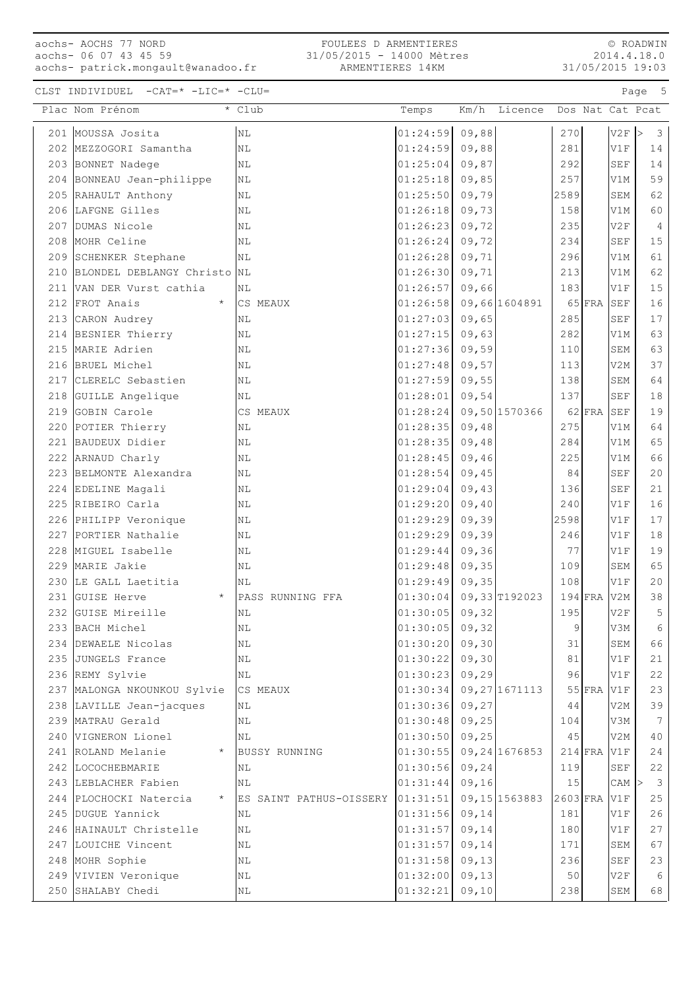# aochs- AOCHS 77 NORD aochs- 06 07 43 45 59

aochs- patrick.mongault@wanadoo.fr

© ROADWIN 2014.4.18.0 31/05/2015 19:03

## CLST INDIVIDUEL  $-CAT=\star$  -LIC=\* -CLU=

|     | Plac Nom Prénom                           | * Club                  | Temps                | Km/h   | Licence         |                |           |            | Dos Nat Cat Pcat |
|-----|-------------------------------------------|-------------------------|----------------------|--------|-----------------|----------------|-----------|------------|------------------|
|     | 201 MOUSSA Josita                         | N <sub>L</sub>          | 01:24:59             | 09,88  |                 | 270            |           | V2F        | 3<br>⊳           |
|     | 202 MEZZOGORI Samantha                    | N <sub>L</sub>          | 01:24:59             | 09,88  |                 | 281            |           | V1F        | 14               |
|     | 203 BONNET Nadege                         | NL                      | 01:25:04             | 09,87  |                 | 292            |           | <b>SEF</b> | 14               |
|     | 204 BONNEAU Jean-philippe                 | NL                      | 01:25:18             | 09,85  |                 | 257            |           | V1M        | 59               |
|     | 205 RAHAULT Anthony                       | ΝL                      | 01:25:50             | 09,79  |                 | 2589           |           | <b>SEM</b> | 62               |
|     | 206 LAFGNE Gilles                         | ΝL                      | 01:26:18             | 09,73  |                 | 158            |           | V1M        | 60               |
|     | 207 DUMAS Nicole                          | NL                      | 01:26:23             | 09,72  |                 | 235            |           | V2F        | 4                |
|     | 208 MOHR Celine                           | ΝL                      | 01:26:24             | 09,72  |                 | 234            |           | <b>SEF</b> | 15               |
|     | 209 SCHENKER Stephane                     | ΝL                      | 01:26:28             | 09,71  |                 | 296            |           | V1M        | 61               |
| 210 | BLONDEL DEBLANGY Christo                  | NL                      | 01:26:30             | 09,71  |                 | 213            |           | V1M        | 62               |
|     | 211 VAN DER Vurst cathia                  | ΝL                      | 01:26:57             | 09,66  |                 | 183            |           | V1F        | 15               |
|     | 212 FROT Anais<br>$\star$                 | CS MEAUX                | 01:26:58             |        | 09,66 1604891   |                | $65$ FRA  | SEF        | 16               |
|     | 213 CARON Audrey                          | NL                      | 01:27:03             | 09,65  |                 | 285            |           | <b>SEF</b> | 17               |
|     | 214 BESNIER Thierry                       | ΝL                      | 01:27:15             | 09,63  |                 | 282            |           | V1M        | 63               |
|     | 215 MARIE Adrien                          | N <sub>L</sub>          | 01:27:36             | 09,59  |                 | 110            |           | SEM        | 63               |
|     | 216 BRUEL Michel                          | ΝL                      | 01:27:48             | 09,57  |                 | 113            |           | V2M        | 37               |
|     | 217 CLERELC Sebastien                     | NL                      | 01:27:59             | 09,55  |                 | 138            |           | SEM        | 64               |
|     | 218 GUILLE Angelique                      | NL                      | 01:28:01             | 09,54  |                 | 137            |           | <b>SEF</b> | 18               |
| 219 | GOBIN Carole                              | CS MEAUX                | 01:28:24             |        | 09,50 1570366   |                | $62$ FRA  | SEF        | 19               |
|     | 220 POTIER Thierry                        | ΝL                      | 01:28:35             | 09,48  |                 | 275            |           | V1M        | 64               |
|     | 221 BAUDEUX Didier                        | NL                      | 01:28:35             | 09,48  |                 | 284            |           | V1M        | 65               |
|     | 222 ARNAUD Charly                         | NL                      | 01:28:45             | 09,46  |                 | 225            |           | V1M        | 66               |
|     | 223 BELMONTE Alexandra                    | ΝL                      | 01:28:54             | 09,45  |                 | 84             |           | <b>SEF</b> | 20               |
|     | 224 EDELINE Magali                        | ΝL                      | 01:29:04             | 09,43  |                 | 136            |           | <b>SEF</b> | 21               |
|     | 225 RIBEIRO Carla                         | NL                      | 01:29:20             | 09,40  |                 | 240            |           | V1F        | 16               |
|     | 226 PHILIPP Veronique                     | NL                      | 01:29:29             | 09,39  |                 | 2598           |           | V1F        | 17               |
|     | 227 PORTIER Nathalie                      | NL                      | 01:29:29             | 09,39  |                 | 246            |           | V1F        | 18               |
|     | 228 MIGUEL Isabelle                       | NL                      | 01:29:44             | 09,36  |                 | 77             |           | V1F        | 19               |
| 229 | MARIE Jakie                               | NL                      | 01:29:48             | 09, 35 |                 | 109            |           | <b>SEM</b> | 65               |
|     | 230 LE GALL Laetitia                      | NL                      | 01:29:49             | 09, 35 |                 | 108            |           | V1F        | 20               |
| 231 | GUISE Herve<br>$\star$                    | PASS RUNNING FFA        | 01:30:04             |        | 09,33 T192023   |                | $194$ FRA | V2M        | $38\,$           |
|     | 232 GUISE Mireille                        | NL                      | 01:30:05             | 09,32  |                 | 195            |           | V2F        | 5                |
|     | 233 BACH Michel                           | N <sub>L</sub>          | $01:30:05$ 09,32     |        |                 | $\overline{9}$ |           | V3M        | $\,$ 6 $\,$      |
|     | 234 DEWAELE Nicolas                       | ΝL                      | 01:30:20             | 09,30  |                 | 31             |           | SEM        | 66               |
|     | 235 JUNGELS France                        | ΝL                      | 01:30:22             | 09,30  |                 | 81             |           | V1F        | 21               |
|     | 236 REMY Sylvie                           | ΝL                      | 01:30:23             | 09, 29 |                 | 96             |           | V1F        | 22               |
|     | 237 MALONGA NKOUNKOU Sylvie               | CS MEAUX                | 01:30:34             |        | 09, 27 1671113  |                | $55$ FRA  | V1F        | 23               |
|     | 238 LAVILLE Jean-jacques                  | ΝL                      | 01:30:36             | 09, 27 |                 | 44             |           | V2M        | 39               |
|     | 239 MATRAU Gerald                         | ΝL                      | 01:30:48             | 09,25  |                 | 104            |           | V3M        | 7                |
|     | 240 VIGNERON Lionel                       | N <sub>L</sub>          | 01:30:50             | 09,25  |                 | 45             |           | V2M        | 40               |
|     | 241 ROLAND Melanie<br>$^{\star}$          | <b>BUSSY RUNNING</b>    | 01:30:55             |        | 09, 24 1676853  |                | $214$ FRA | V1F        | 24               |
|     | 242 LOCOCHEBMARIE                         | ΝL                      | 01:30:56             | 09, 24 |                 | 119            |           | <b>SEF</b> | 22               |
|     | 243 LEBLACHER Fabien                      | N <sub>L</sub>          | 01:31:44             | 09,16  |                 | 15             |           | CAM        | 3                |
|     | 244 PLOCHOCKI Natercia                    | ES SAINT PATHUS-OISSERY | 01:31:51             |        | 09, 15 15 63883 | 2603 FRA       |           | V1F        | 25               |
|     | 245 DUGUE Yannick                         | ΝL                      | 01:31:56             | 09, 14 |                 | 181            |           | V1F        | 26               |
|     | 246 HAINAULT Christelle                   | ΝL                      | 01:31:57             | 09, 14 |                 | 180            |           | V1F        | 27               |
|     | 247 LOUICHE Vincent                       | N <sub>L</sub>          | 01:31:57             | 09, 14 |                 | 171            |           | <b>SEM</b> | 67               |
|     | 248 MOHR Sophie                           | ΝL                      | 01:31:58             | 09, 13 |                 | 236            |           | SEF        | 23               |
|     | 249 VIVIEN Veronique<br>250 SHALABY Chedi | ΝL                      | 01:32:00<br>01:32:21 | 09, 13 |                 | 50<br>238      |           | V2F<br>SEM | 6<br>68          |
|     |                                           | ΝL                      |                      | 09, 10 |                 |                |           |            |                  |